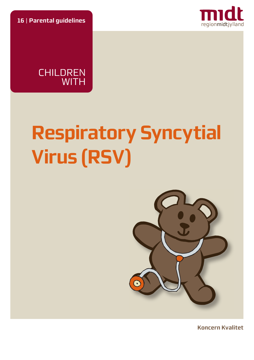**16** | **Parental guidelines**





# **Respiratory Syncytial Virus (RSV)**



**Koncern Kvalitet**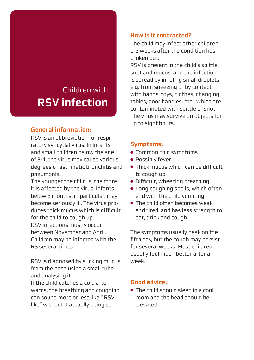## Children with **RSV infection**

#### **General information:**

RSV is an abbreviation for respiratory syncytial virus. In infants and small children below the age of 3-4, the virus may cause various degrees of asthmatic bronchitis and pneumonia.

The younger the child is, the more it is affected by the virus. Infants below 6 months, in particular, may become seriously ill. The virus produces thick mucus which is difficult for the child to cough up. RSV infections mostly occur between November and April. Children may be infected with the RS several times.

RSV is diagnosed by sucking mucus from the nose using a small tube and analysing it.

If the child catches a cold afterwards, the breathing and coughing can sound more or less like " RSV like" without it actually being so.

#### **How is it contracted?**

The child may infect other children 1-2 weeks after the condition has broken out.

RSV is present in the child's spittle, snot and mucus, and the infection is spread by inhaling small droplets, e.g. from sneezing or by contact with hands, toys, clothes, changing tables, door handles, etc., which are contaminated with spittle or snot. The virus may survive on objects for up to eight hours.

#### **Symptoms:**

- Common cold symptoms
- Possibly fever
- Thick mucus which can be difficult to cough up
- Difficult, wheezing breathing
- Long coughing spells, which often end with the child vomiting
- The child often becomes weak and tired, and has less strength to eat, drink and cough.

The symptoms usually peak on the fifth day, but the cough may persist for several weeks. Most children usually feel much better after a week.

#### **Good advice:**

● The child should sleep in a cool room and the head should be elevated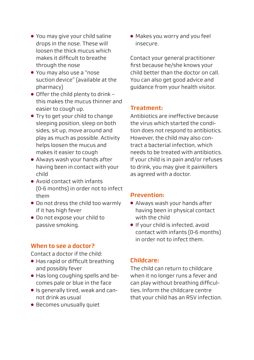- You may give your child saline drops in the nose. These will loosen the thick mucus which makes it difficult to breathe through the nose
- You may also use a "nose suction device" (available at the pharmacy)
- $\bullet$  Offer the child plenty to drink this makes the mucus thinner and easier to cough up.
- Try to get your child to change sleeping position, sleep on both sides, sit up, move around and play as much as possible. Activity helps loosen the mucus and makes it easier to cough
- Always wash your hands after having been in contact with your child
- Avoid contact with infants (0-6 months) in order not to infect them
- Do not dress the child too warmly if it has high fever
- Do not expose your child to passive smoking.

#### **When to see a doctor?**

Contact a doctor if the child:

- Has rapid or difficult breathing and possibly fever
- Has long coughing spells and becomes pale or blue in the face
- Is generally tired, weak and cannot drink as usual
- Becomes unusually quiet

● Makes you worry and you feel insecure.

Contact your general practitioner first because he/she knows your child better than the doctor on call. You can also get good advice and guidance from your health visitor.

#### **Treatment:**

Antibiotics are ineffective because the virus which started the condition does not respond to antibiotics. However, the child may also contract a bacterial infection, which needs to be treated with antibiotics. If your child is in pain and/or refuses to drink, you may give it painkillers as agreed with a doctor.

#### **Prevention:**

- Always wash your hands after having been in physical contact with the child
- If your child is infected, avoid contact with infants (0-6 months) in order not to infect them.

### **Childcare:**

The child can return to childcare when it no longer runs a fever and can play without breathing difficulties. Inform the childcare centre that your child has an RSV infection.